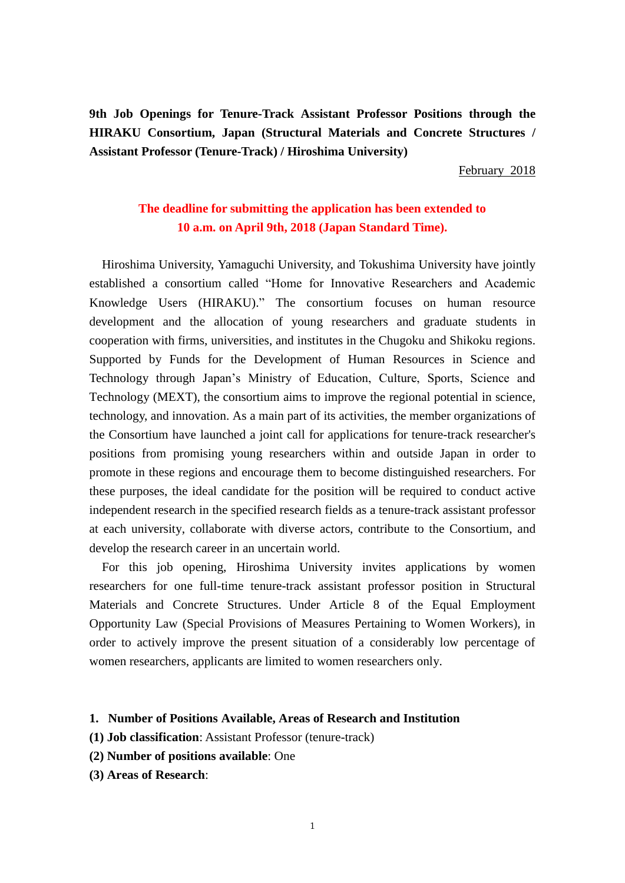**9th Job Openings for Tenure-Track Assistant Professor Positions through the HIRAKU Consortium, Japan (Structural Materials and Concrete Structures / Assistant Professor (Tenure-Track) / Hiroshima University)**

February 2018

# **The deadline for submitting the application has been extended to 10 a.m. on April 9th, 2018 (Japan Standard Time).**

Hiroshima University, Yamaguchi University, and Tokushima University have jointly established a consortium called "Home for Innovative Researchers and Academic Knowledge Users (HIRAKU)." The consortium focuses on human resource development and the allocation of young researchers and graduate students in cooperation with firms, universities, and institutes in the Chugoku and Shikoku regions. Supported by Funds for the Development of Human Resources in Science and Technology through Japan's Ministry of Education, Culture, Sports, Science and Technology (MEXT), the consortium aims to improve the regional potential in science, technology, and innovation. As a main part of its activities, the member organizations of the Consortium have launched a joint call for applications for tenure-track researcher's positions from promising young researchers within and outside Japan in order to promote in these regions and encourage them to become distinguished researchers. For these purposes, the ideal candidate for the position will be required to conduct active independent research in the specified research fields as a tenure-track assistant professor at each university, collaborate with diverse actors, contribute to the Consortium, and develop the research career in an uncertain world.

For this job opening, Hiroshima University invites applications by women researchers for one full-time tenure-track assistant professor position in Structural Materials and Concrete Structures. Under Article 8 of the Equal Employment Opportunity Law (Special Provisions of Measures Pertaining to Women Workers), in order to actively improve the present situation of a considerably low percentage of women researchers, applicants are limited to women researchers only.

#### **1. Number of Positions Available, Areas of Research and Institution**

- **(1) Job classification**: Assistant Professor (tenure-track)
- **(2) Number of positions available**: One
- **(3) Areas of Research**: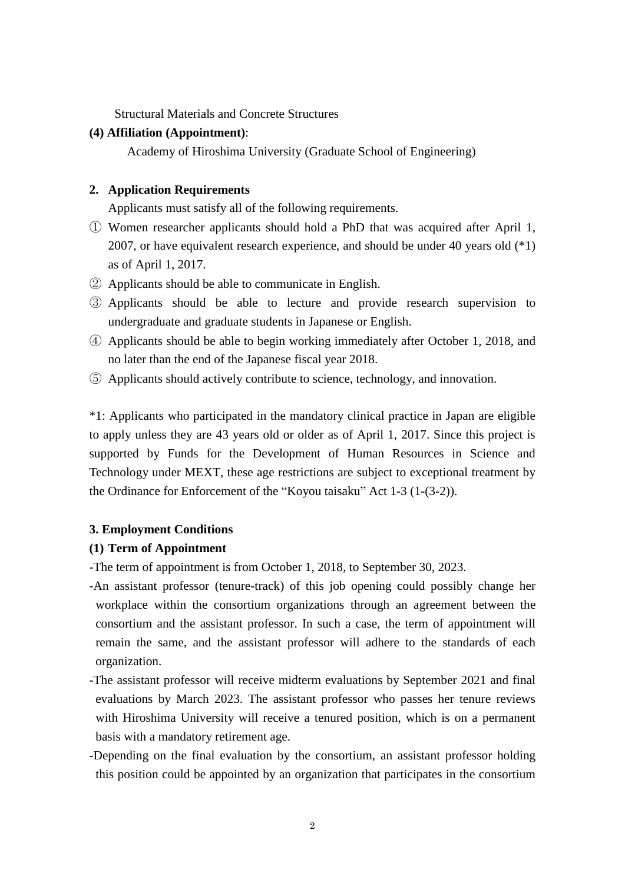Structural Materials and Concrete Structures

### **(4) Affiliation (Appointment)**:

Academy of Hiroshima University (Graduate School of Engineering)

### **2. Application Requirements**

Applicants must satisfy all of the following requirements.

- ① Women researcher applicants should hold a PhD that was acquired after April 1, 2007, or have equivalent research experience, and should be under 40 years old (\*1) as of April 1, 2017.
- ② Applicants should be able to communicate in English.
- ③ Applicants should be able to lecture and provide research supervision to undergraduate and graduate students in Japanese or English.
- ④ Applicants should be able to begin working immediately after October 1, 2018, and no later than the end of the Japanese fiscal year 2018.
- ⑤ Applicants should actively contribute to science, technology, and innovation.

\*1: Applicants who participated in the mandatory clinical practice in Japan are eligible to apply unless they are 43 years old or older as of April 1, 2017. Since this project is supported by Funds for the Development of Human Resources in Science and Technology under MEXT, these age restrictions are subject to exceptional treatment by the Ordinance for Enforcement of the "Koyou taisaku" Act 1-3 (1-(3-2)).

#### **3. Employment Conditions**

### **(1) Term of Appointment**

-The term of appointment is from October 1, 2018, to September 30, 2023.

-An assistant professor (tenure-track) of this job opening could possibly change her workplace within the consortium organizations through an agreement between the consortium and the assistant professor. In such a case, the term of appointment will remain the same, and the assistant professor will adhere to the standards of each organization.

- -The assistant professor will receive midterm evaluations by September 2021 and final evaluations by March 2023. The assistant professor who passes her tenure reviews with Hiroshima University will receive a tenured position, which is on a permanent basis with a mandatory retirement age.
- -Depending on the final evaluation by the consortium, an assistant professor holding this position could be appointed by an organization that participates in the consortium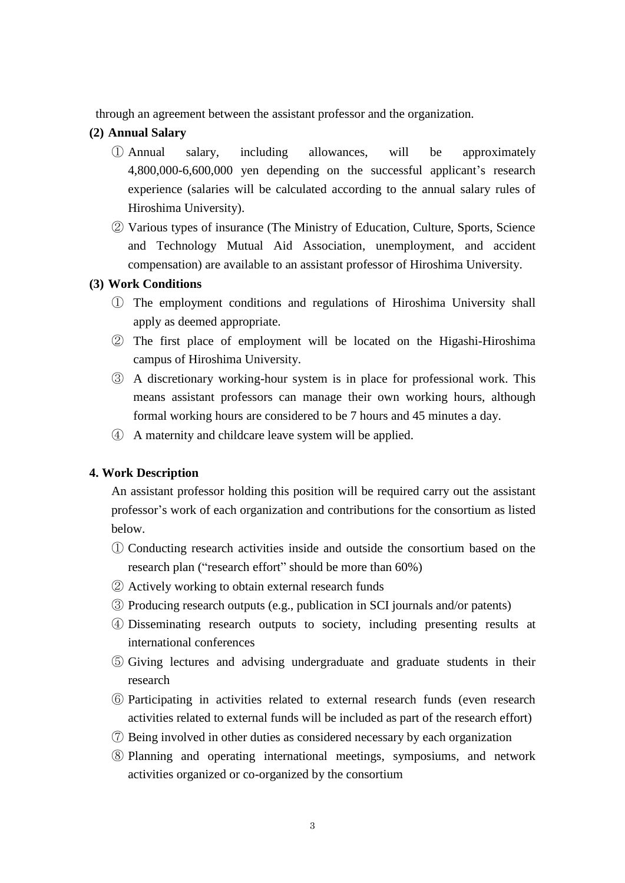through an agreement between the assistant professor and the organization.

# **(2) Annual Salary**

- ① Annual salary, including allowances, will be approximately 4,800,000-6,600,000 yen depending on the successful applicant's research experience (salaries will be calculated according to the annual salary rules of Hiroshima University).
- ② Various types of insurance (The Ministry of Education, Culture, Sports, Science and Technology Mutual Aid Association, unemployment, and accident compensation) are available to an assistant professor of Hiroshima University.

## **(3) Work Conditions**

- ① The employment conditions and regulations of Hiroshima University shall apply as deemed appropriate.
- ② The first place of employment will be located on the Higashi-Hiroshima campus of Hiroshima University.
- ③ A discretionary working-hour system is in place for professional work. This means assistant professors can manage their own working hours, although formal working hours are considered to be 7 hours and 45 minutes a day.
- ④ A maternity and childcare leave system will be applied.

## **4. Work Description**

An assistant professor holding this position will be required carry out the assistant professor's work of each organization and contributions for the consortium as listed below.

- ① Conducting research activities inside and outside the consortium based on the research plan ("research effort" should be more than 60%)
- ② Actively working to obtain external research funds
- ③ Producing research outputs (e.g., publication in SCI journals and/or patents)
- ④ Disseminating research outputs to society, including presenting results at international conferences
- ⑤ Giving lectures and advising undergraduate and graduate students in their research
- ⑥ Participating in activities related to external research funds (even research activities related to external funds will be included as part of the research effort)
- ⑦ Being involved in other duties as considered necessary by each organization
- ⑧ Planning and operating international meetings, symposiums, and network activities organized or co-organized by the consortium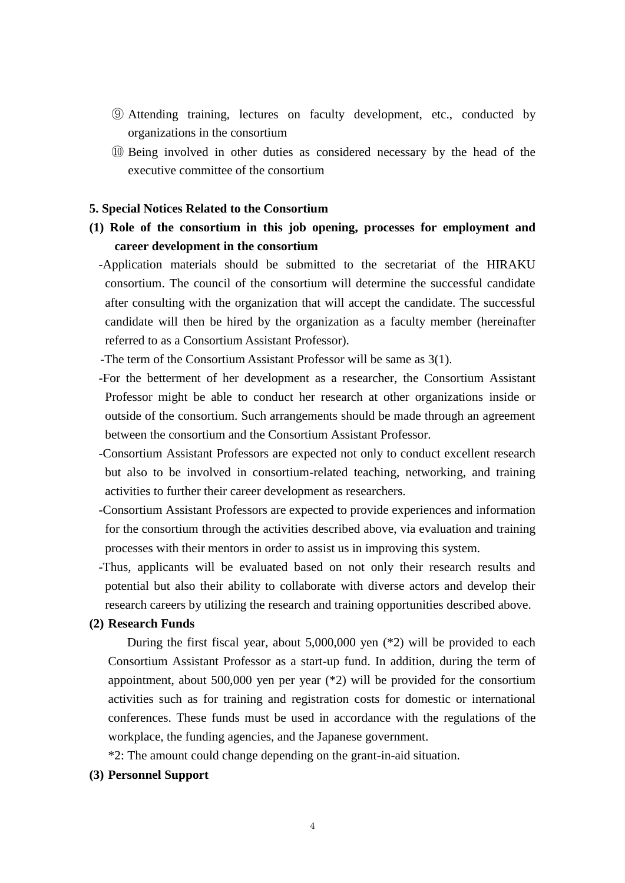- ⑨ Attending training, lectures on faculty development, etc., conducted by organizations in the consortium
- ⑩ Being involved in other duties as considered necessary by the head of the executive committee of the consortium

### **5. Special Notices Related to the Consortium**

- **(1) Role of the consortium in this job opening, processes for employment and career development in the consortium**
	- -Application materials should be submitted to the secretariat of the HIRAKU consortium. The council of the consortium will determine the successful candidate after consulting with the organization that will accept the candidate. The successful candidate will then be hired by the organization as a faculty member (hereinafter referred to as a Consortium Assistant Professor).
	- -The term of the Consortium Assistant Professor will be same as 3(1).
	- -For the betterment of her development as a researcher, the Consortium Assistant Professor might be able to conduct her research at other organizations inside or outside of the consortium. Such arrangements should be made through an agreement between the consortium and the Consortium Assistant Professor.
	- -Consortium Assistant Professors are expected not only to conduct excellent research but also to be involved in consortium-related teaching, networking, and training activities to further their career development as researchers.
	- -Consortium Assistant Professors are expected to provide experiences and information for the consortium through the activities described above, via evaluation and training processes with their mentors in order to assist us in improving this system.
	- -Thus, applicants will be evaluated based on not only their research results and potential but also their ability to collaborate with diverse actors and develop their research careers by utilizing the research and training opportunities described above.

#### **(2) Research Funds**

During the first fiscal year, about 5,000,000 yen (\*2) will be provided to each Consortium Assistant Professor as a start-up fund. In addition, during the term of appointment, about 500,000 yen per year (\*2) will be provided for the consortium activities such as for training and registration costs for domestic or international conferences. These funds must be used in accordance with the regulations of the workplace, the funding agencies, and the Japanese government.

\*2: The amount could change depending on the grant-in-aid situation.

## **(3) Personnel Support**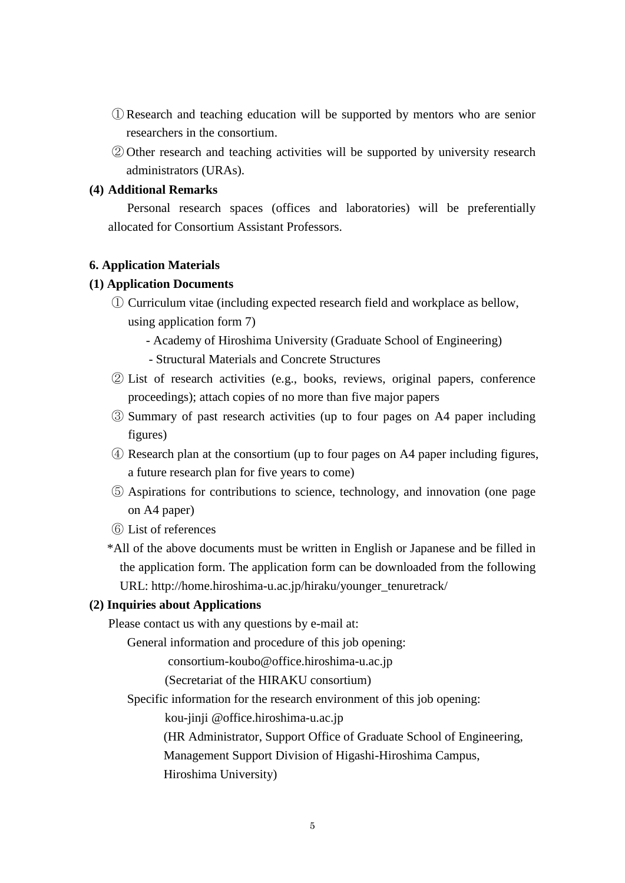- ① Research and teaching education will be supported by mentors who are senior researchers in the consortium.
- ② Other research and teaching activities will be supported by university research administrators (URAs).

## **(4) Additional Remarks**

Personal research spaces (offices and laboratories) will be preferentially allocated for Consortium Assistant Professors.

### **6. Application Materials**

### **(1) Application Documents**

① Curriculum vitae (including expected research field and workplace as bellow, using application form 7)

- Academy of Hiroshima University (Graduate School of Engineering)

- Structural Materials and Concrete Structures
- ② List of research activities (e.g., books, reviews, original papers, conference proceedings); attach copies of no more than five major papers
- ③ Summary of past research activities (up to four pages on A4 paper including figures)
- ④ Research plan at the consortium (up to four pages on A4 paper including figures, a future research plan for five years to come)
- ⑤ Aspirations for contributions to science, technology, and innovation (one page on A4 paper)
- ⑥ List of references
- \*All of the above documents must be written in English or Japanese and be filled in the application form. The application form can be downloaded from the following URL: http://home.hiroshima-u.ac.jp/hiraku/younger\_tenuretrack/

## **(2) Inquiries about Applications**

Please contact us with any questions by e-mail at:

General information and procedure of this job opening:

consortium-koubo@office.hiroshima-u.ac.jp

(Secretariat of the HIRAKU consortium)

Specific information for the research environment of this job opening:

kou-jinji @office.hiroshima-u.ac.jp

(HR Administrator, Support Office of Graduate School of Engineering,

Management Support Division of Higashi-Hiroshima Campus,

Hiroshima University)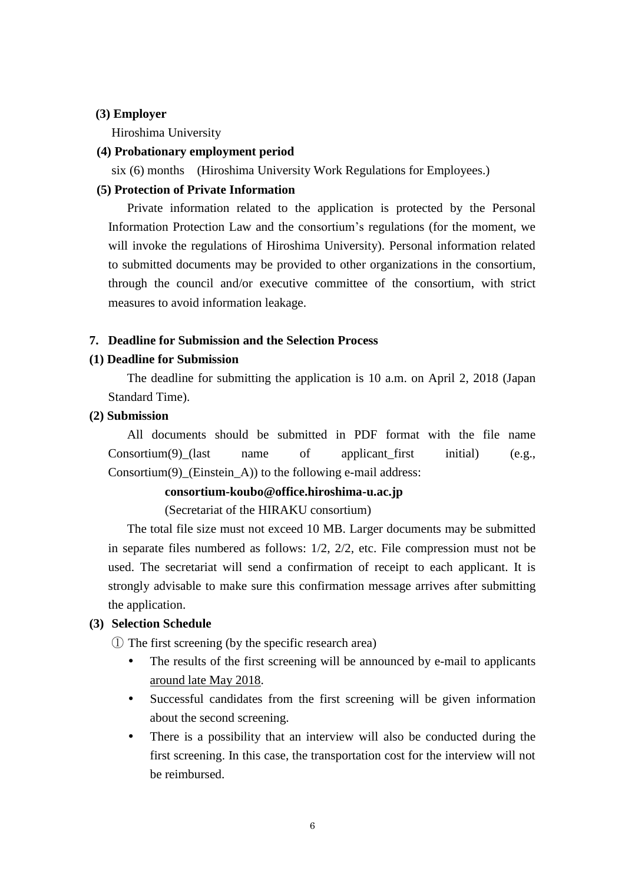#### **(3) Employer**

Hiroshima University

### **(4) Probationary employment period**

six (6) months (Hiroshima University Work Regulations for Employees.)

# **(5) Protection of Private Information**

Private information related to the application is protected by the Personal Information Protection Law and the consortium's regulations (for the moment, we will invoke the regulations of Hiroshima University). Personal information related to submitted documents may be provided to other organizations in the consortium, through the council and/or executive committee of the consortium, with strict measures to avoid information leakage.

## **7. Deadline for Submission and the Selection Process**

#### **(1) Deadline for Submission**

The deadline for submitting the application is 10 a.m. on April 2, 2018 (Japan Standard Time).

#### **(2) Submission**

All documents should be submitted in PDF format with the file name Consortium(9) (last name of applicant first initial) (e.g., Consortium(9)\_(Einstein\_A)) to the following e-mail address:

## **consortium-koubo@office.hiroshima-u.ac.jp**

(Secretariat of the HIRAKU consortium)

The total file size must not exceed 10 MB. Larger documents may be submitted in separate files numbered as follows: 1/2, 2/2, etc. File compression must not be used. The secretariat will send a confirmation of receipt to each applicant. It is strongly advisable to make sure this confirmation message arrives after submitting the application.

#### **(3) Selection Schedule**

① The first screening (by the specific research area)

- The results of the first screening will be announced by e-mail to applicants around late May 2018.
- Successful candidates from the first screening will be given information about the second screening.
- There is a possibility that an interview will also be conducted during the first screening. In this case, the transportation cost for the interview will not be reimbursed.